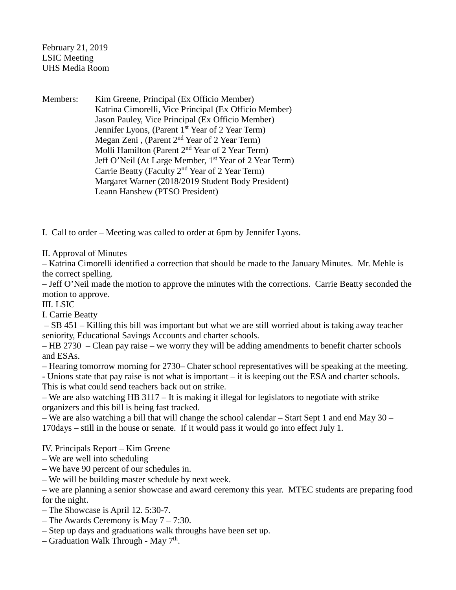February 21, 2019 LSIC Meeting UHS Media Room

Members: Kim Greene, Principal (Ex Officio Member) Katrina Cimorelli, Vice Principal (Ex Officio Member) Jason Pauley, Vice Principal (Ex Officio Member) Jennifer Lyons, (Parent 1<sup>st</sup> Year of 2 Year Term) Megan Zeni, (Parent 2<sup>nd</sup> Year of 2 Year Term) Molli Hamilton (Parent 2<sup>nd</sup> Year of 2 Year Term) Jeff O'Neil (At Large Member, 1<sup>st</sup> Year of 2 Year Term) Carrie Beatty (Faculty 2nd Year of 2 Year Term) Margaret Warner (2018/2019 Student Body President) Leann Hanshew (PTSO President)

I. Call to order – Meeting was called to order at 6pm by Jennifer Lyons.

II. Approval of Minutes

– Katrina Cimorelli identified a correction that should be made to the January Minutes. Mr. Mehle is the correct spelling.

– Jeff O'Neil made the motion to approve the minutes with the corrections. Carrie Beatty seconded the motion to approve.

III. LSIC

I. Carrie Beatty

– SB 451 – Killing this bill was important but what we are still worried about is taking away teacher seniority, Educational Savings Accounts and charter schools.

– HB 2730 – Clean pay raise – we worry they will be adding amendments to benefit charter schools and ESAs.

– Hearing tomorrow morning for 2730– Chater school representatives will be speaking at the meeting.

- Unions state that pay raise is not what is important – it is keeping out the ESA and charter schools. This is what could send teachers back out on strike.

– We are also watching HB 3117 – It is making it illegal for legislators to negotiate with strike organizers and this bill is being fast tracked.

– We are also watching a bill that will change the school calendar – Start Sept 1 and end May 30 – 170days – still in the house or senate. If it would pass it would go into effect July 1.

IV. Principals Report – Kim Greene

- We are well into scheduling
- We have 90 percent of our schedules in.

– We will be building master schedule by next week.

– we are planning a senior showcase and award ceremony this year. MTEC students are preparing food for the night.

– The Showcase is April 12. 5:30-7.

- The Awards Ceremony is May 7 7:30.
- Step up days and graduations walk throughs have been set up.
- Graduation Walk Through May  $7<sup>th</sup>$ .